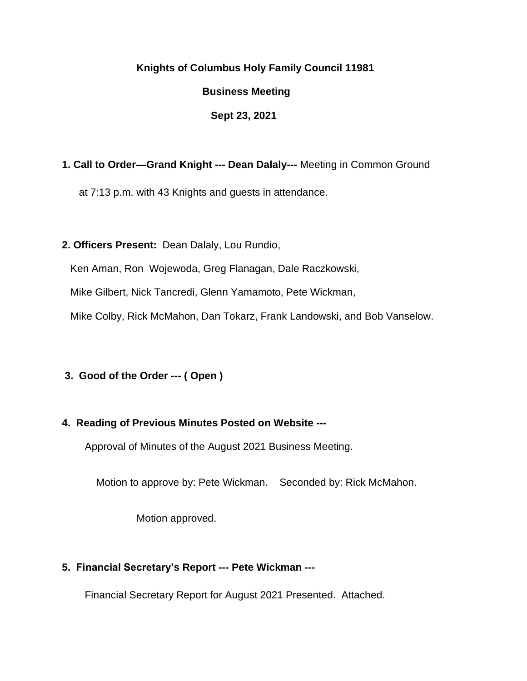#### **Knights of Columbus Holy Family Council 11981**

#### **Business Meeting**

#### **Sept 23, 2021**

# **1. Call to Order—Grand Knight --- Dean Dalaly---** Meeting in Common Ground

at 7:13 p.m. with 43 Knights and guests in attendance.

#### **2. Officers Present:** Dean Dalaly, Lou Rundio,

Ken Aman, Ron Wojewoda, Greg Flanagan, Dale Raczkowski,

Mike Gilbert, Nick Tancredi, Glenn Yamamoto, Pete Wickman,

Mike Colby, Rick McMahon, Dan Tokarz, Frank Landowski, and Bob Vanselow.

# **3. Good of the Order --- ( Open )**

# **4. Reading of Previous Minutes Posted on Website ---**

Approval of Minutes of the August 2021 Business Meeting.

Motion to approve by: Pete Wickman. Seconded by: Rick McMahon.

Motion approved.

# **5. Financial Secretary's Report --- Pete Wickman ---**

Financial Secretary Report for August 2021 Presented. Attached.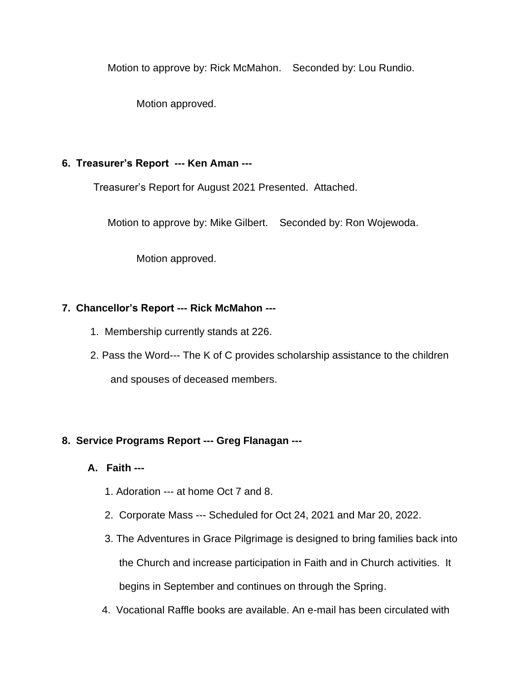Motion to approve by: Rick McMahon. Seconded by: Lou Rundio.

Motion approved.

# **6. Treasurer's Report --- Ken Aman ---**

Treasurer's Report for August 2021 Presented. Attached.

Motion to approve by: Mike Gilbert. Seconded by: Ron Wojewoda.

Motion approved.

# **7. Chancellor's Report --- Rick McMahon ---**

- 1. Membership currently stands at 226.
- 2. Pass the Word--- The K of C provides scholarship assistance to the children and spouses of deceased members.

# **8. Service Programs Report --- Greg Flanagan ---**

# **A. Faith ---**

- 1. Adoration --- at home Oct 7 and 8.
- 2. Corporate Mass --- Scheduled for Oct 24, 2021 and Mar 20, 2022.
- 3. The Adventures in Grace Pilgrimage is designed to bring families back into the Church and increase participation in Faith and in Church activities. It begins in September and continues on through the Spring.
- 4. Vocational Raffle books are available. An e-mail has been circulated with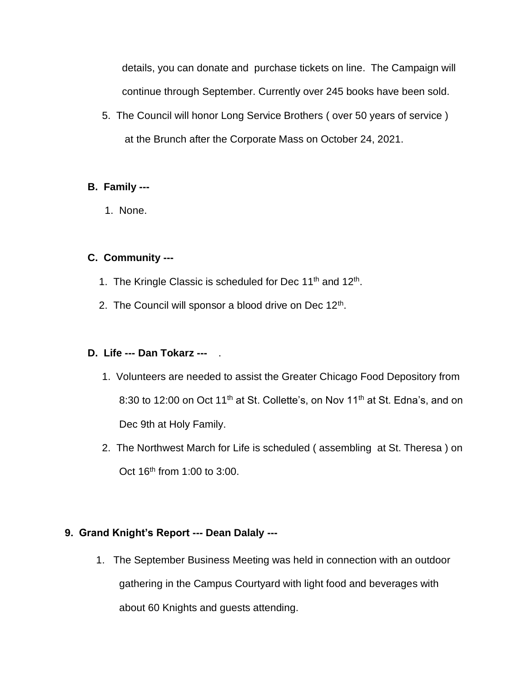details, you can donate and purchase tickets on line. The Campaign will continue through September. Currently over 245 books have been sold.

 5. The Council will honor Long Service Brothers ( over 50 years of service ) at the Brunch after the Corporate Mass on October 24, 2021.

# **B. Family ---**

1. None.

# **C. Community ---**

- 1. The Kringle Classic is scheduled for Dec 11<sup>th</sup> and 12<sup>th</sup>.
- 2. The Council will sponsor a blood drive on Dec  $12<sup>th</sup>$ .

#### **D. Life --- Dan Tokarz ---** .

- 1. Volunteers are needed to assist the Greater Chicago Food Depository from 8:30 to 12:00 on Oct 11<sup>th</sup> at St. Collette's, on Nov 11<sup>th</sup> at St. Edna's, and on Dec 9th at Holy Family.
- 2. The Northwest March for Life is scheduled ( assembling at St. Theresa ) on Oct  $16<sup>th</sup>$  from 1:00 to 3:00.

#### **9. Grand Knight's Report --- Dean Dalaly ---**

1. The September Business Meeting was held in connection with an outdoor gathering in the Campus Courtyard with light food and beverages with about 60 Knights and guests attending.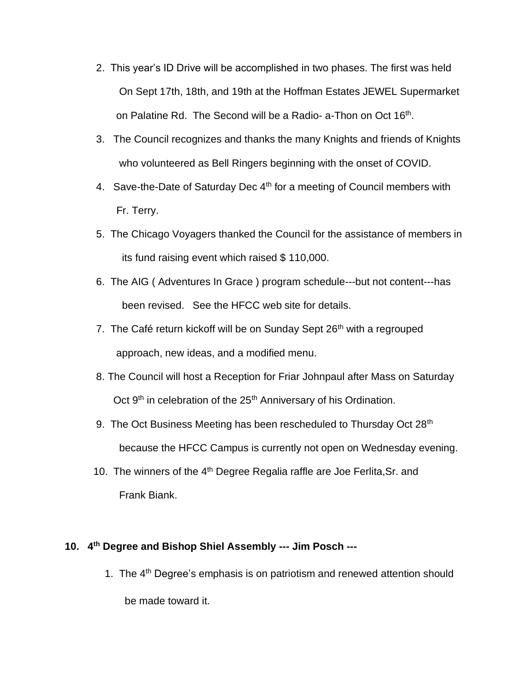- 2. This year's ID Drive will be accomplished in two phases. The first was held On Sept 17th, 18th, and 19th at the Hoffman Estates JEWEL Supermarket on Palatine Rd. The Second will be a Radio- a-Thon on Oct 16<sup>th</sup>.
	- 3. The Council recognizes and thanks the many Knights and friends of Knights who volunteered as Bell Ringers beginning with the onset of COVID.
	- 4. Save-the-Date of Saturday Dec 4<sup>th</sup> for a meeting of Council members with Fr. Terry.
	- 5. The Chicago Voyagers thanked the Council for the assistance of members in its fund raising event which raised \$ 110,000.
	- 6. The AIG ( Adventures In Grace ) program schedule---but not content---has been revised. See the HFCC web site for details.
	- 7. The Café return kickoff will be on Sunday Sept 26<sup>th</sup> with a regrouped approach, new ideas, and a modified menu.
	- 8. The Council will host a Reception for Friar Johnpaul after Mass on Saturday Oct 9<sup>th</sup> in celebration of the 25<sup>th</sup> Anniversary of his Ordination.
	- 9. The Oct Business Meeting has been rescheduled to Thursday Oct 28<sup>th</sup> because the HFCC Campus is currently not open on Wednesday evening.
	- 10. The winners of the 4<sup>th</sup> Degree Regalia raffle are Joe Ferlita, Sr. and Frank Biank.

# **10. 4 th Degree and Bishop Shiel Assembly --- Jim Posch ---**

1. The 4<sup>th</sup> Degree's emphasis is on patriotism and renewed attention should

be made toward it.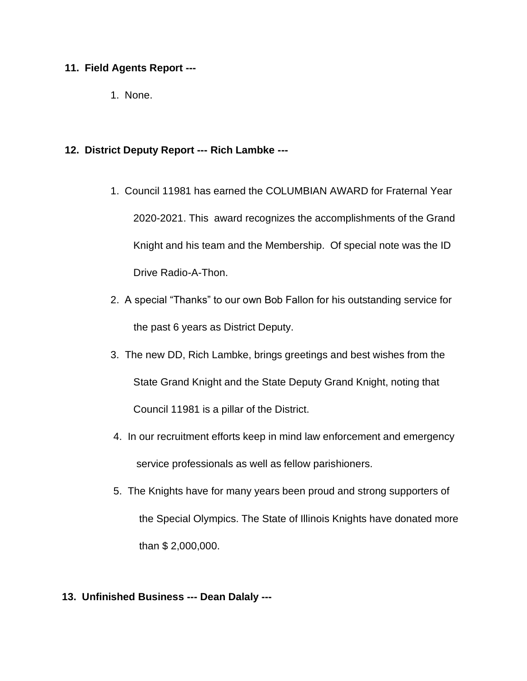#### **11. Field Agents Report ---**

1. None.

#### **12. District Deputy Report --- Rich Lambke ---**

- 1. Council 11981 has earned the COLUMBIAN AWARD for Fraternal Year 2020-2021. This award recognizes the accomplishments of the Grand Knight and his team and the Membership. Of special note was the ID Drive Radio-A-Thon.
- 2. A special "Thanks" to our own Bob Fallon for his outstanding service for the past 6 years as District Deputy.
- 3. The new DD, Rich Lambke, brings greetings and best wishes from the State Grand Knight and the State Deputy Grand Knight, noting that Council 11981 is a pillar of the District.
- 4. In our recruitment efforts keep in mind law enforcement and emergency service professionals as well as fellow parishioners.
- 5. The Knights have for many years been proud and strong supporters of the Special Olympics. The State of Illinois Knights have donated more than \$ 2,000,000.

#### **13. Unfinished Business --- Dean Dalaly ---**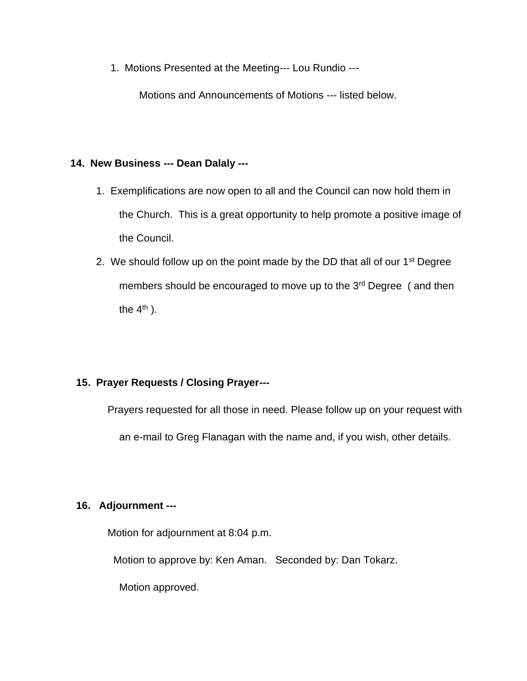1. Motions Presented at the Meeting--- Lou Rundio ---

Motions and Announcements of Motions --- listed below.

#### **14. New Business --- Dean Dalaly ---**

- 1. Exemplifications are now open to all and the Council can now hold them in the Church. This is a great opportunity to help promote a positive image of the Council.
- 2. We should follow up on the point made by the DD that all of our 1<sup>st</sup> Degree members should be encouraged to move up to the 3<sup>rd</sup> Degree (and then the  $4<sup>th</sup>$ ).

# **15. Prayer Requests / Closing Prayer---**

Prayers requested for all those in need. Please follow up on your request with an e-mail to Greg Flanagan with the name and, if you wish, other details.

# **16. Adjournment ---**

Motion for adjournment at 8:04 p.m.

Motion to approve by: Ken Aman. Seconded by: Dan Tokarz.

Motion approved.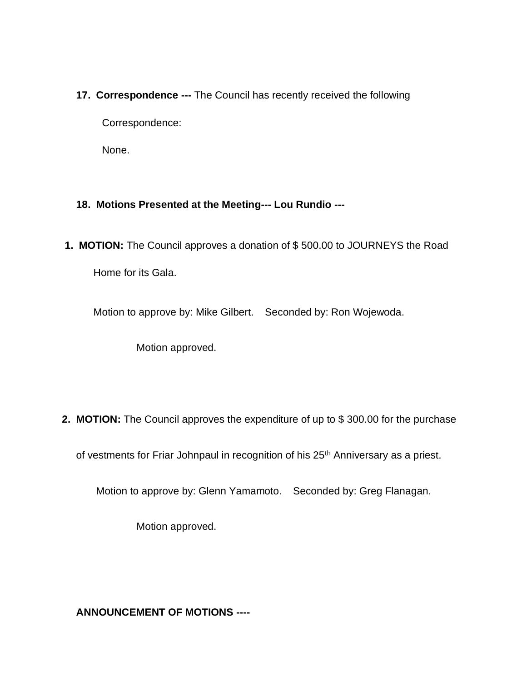**17. Correspondence ---** The Council has recently received the following

Correspondence:

None.

# **18. Motions Presented at the Meeting--- Lou Rundio ---**

**1. MOTION:** The Council approves a donation of \$ 500.00 to JOURNEYS the Road Home for its Gala.

Motion to approve by: Mike Gilbert. Seconded by: Ron Wojewoda.

Motion approved.

**2. MOTION:** The Council approves the expenditure of up to \$300.00 for the purchase

of vestments for Friar Johnpaul in recognition of his 25<sup>th</sup> Anniversary as a priest.

Motion to approve by: Glenn Yamamoto. Seconded by: Greg Flanagan.

Motion approved.

 **ANNOUNCEMENT OF MOTIONS ----**